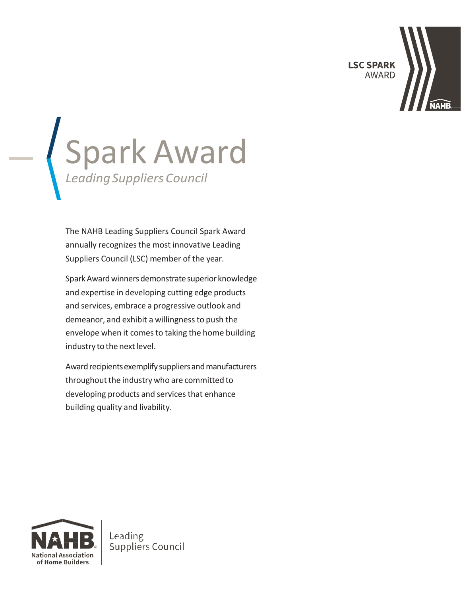**LSC SPARK AWARD** 



# Spark Award *LeadingSuppliersCouncil*

The NAHB Leading Suppliers Council Spark Award annually recognizes the most innovative Leading Suppliers Council (LSC) member of the year.

Spark Award winners demonstrate superior knowledge and expertise in developing cutting edge products and services, embrace a progressive outlook and demeanor, and exhibit a willingnessto push the envelope when it comes to taking the home building industry to the next level.

Award recipients exemplify suppliers and manufacturers throughout the industry who are committed to developing products and services that enhance building quality and livability.



Leading Suppliers Council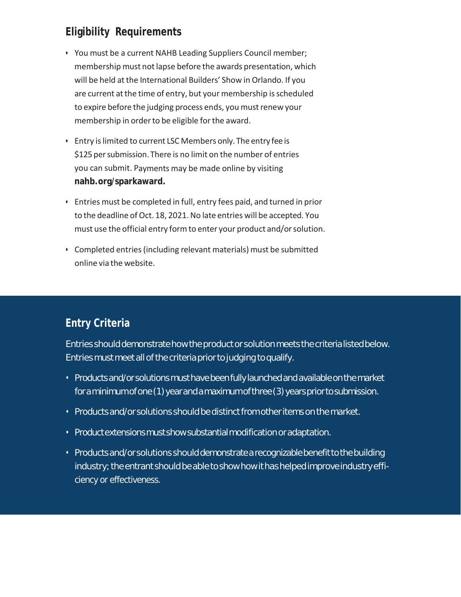## **Eligibility Requirements**

- You must be a current NAHB Leading Suppliers Council member; membership must not lapse before the awards presentation, which will be held at the International Builders' Show in Orlando. If you are current at the time of entry, but your membership is scheduled to expire before the judging process ends, you must renew your membership in order to be eligible for the award.
- Entry islimited to current LSC Members only. The entry fee is \$125 per submission. There is no limit on the number of entries you can submit. Payments may be made online by visiting **nahb.org/sparkaward.**
- Entries must be completed in full, entry fees paid, and turned in prior to the deadline of Oct. 18, 2021. No late entries will be accepted. You must use the official entry form to enter your product and/or solution.
- Completed entries (including relevant materials) must be submitted online via the website.

# **Entry Criteria**

Entries should demonstrate how the product or solution meets the criteria listed below. Entries must meet all of the criteria prior to judging to qualify.

- Products and/or solutions must have been fully launched and available on the market for a minimumofone(1)yearand a maximumofthree(3)yearspriortosubmission.
- $\cdot$  Products and/or solutions should be distinct from other items on the market.
- Product extensionsmust showsubstantialmodificationor adaptation.
- Products and/or solutions should demonstrate a recognizable benefit to the building industry; the entrant should be able to show how it has helped improve industry efficiency or effectiveness.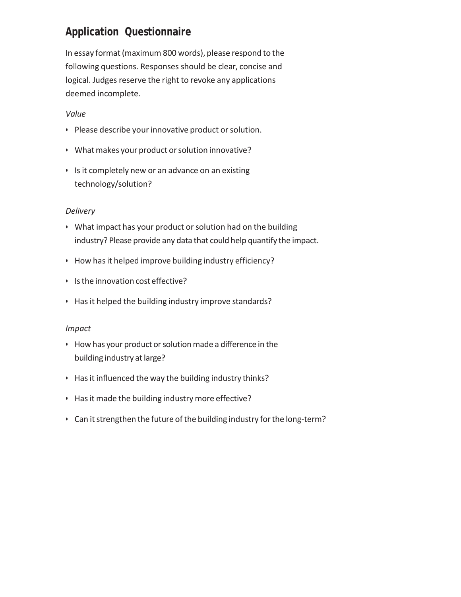## **Application Questionnaire**

In essay format (maximum 800 words), please respond to the following questions. Responses should be clear, concise and logical. Judges reserve the right to revoke any applications deemed incomplete.

#### *Value*

- Please describe your innovative product or solution.
- What makes your product or solution innovative?
- Is it completely new or an advance on an existing technology/solution?

#### *Delivery*

- What impact has your product or solution had on the building industry? Please provide any data that could help quantify the impact.
- How hasit helped improve building industry efficiency?
- Isthe innovation cost effective?
- Hasit helped the building industry improve standards?

#### *Impact*

- How has your product or solution made a difference in the building industry at large?
- Hasit influenced the way the building industry thinks?
- Hasit made the building industry more effective?
- Can it strengthen the future of the building industry for the long-term?